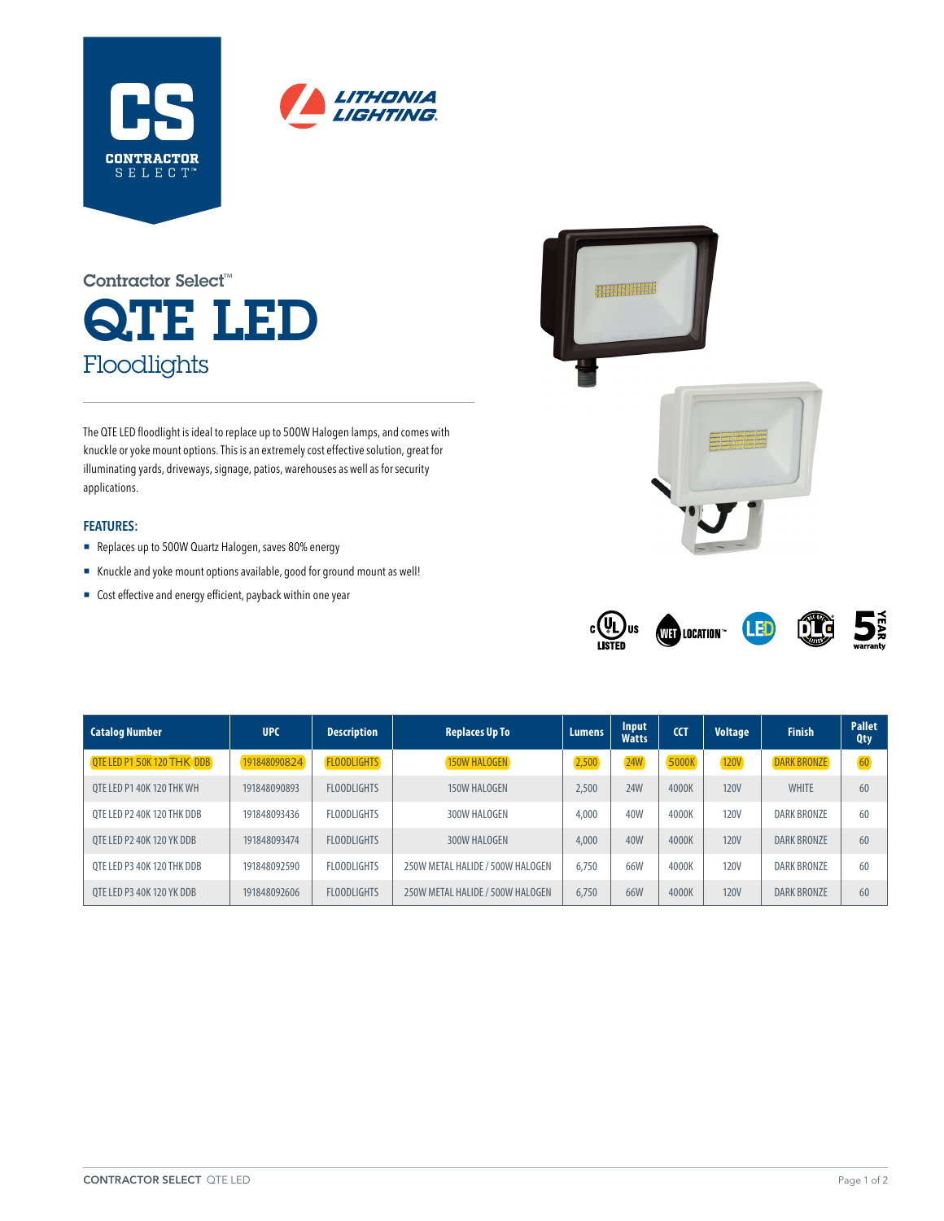



# QTE LED Floodlights Contractor Select™

The QTE LED floodlight is ideal to replace up to 500W Halogen lamps, and comes with knuckle or yoke mount options. This is an extremely cost effective solution, great for illuminating yards, driveways, signage, patios, warehouses as well as for security applications.

### **FEATURES:**

- Replaces up to 500W Quartz Halogen, saves 80% energy
- ¡ Knuckle and yoke mount options available, good for ground mount as well!
- Cost effective and energy efficient, payback within one year





| <b>Catalog Number</b>             | <b>UPC</b>   | <b>Description</b> | <b>Replaces Up To</b>            | <b>Lumens</b> | Input<br><b>Watts</b> | <b>CCT</b> | <b>Voltage</b> | <b>Finish</b>      | <b>Pallet</b><br><b>Qty</b> |
|-----------------------------------|--------------|--------------------|----------------------------------|---------------|-----------------------|------------|----------------|--------------------|-----------------------------|
| <b>QTE LED P1 50K 120 THK DDB</b> | 191848090824 | <b>FLOODLIGHTS</b> | <b>150W HALOGEN</b>              | 2,500         | <b>24W</b>            | 5000K      | <b>120V</b>    | <b>DARK BRONZE</b> | 60                          |
| OTE LED P1 40K 120 THK WH         | 191848090893 | <b>FLOODLIGHTS</b> | 150W HALOGEN                     | 2,500         | <b>24W</b>            | 4000K      | <b>120V</b>    | <b>WHITE</b>       | 60                          |
| OTE LED P2 40K 120 THK DDB        | 191848093436 | <b>FLOODLIGHTS</b> | 300W HALOGEN                     | 4,000         | 40W                   | 4000K      | <b>120V</b>    | DARK BRONZE        | 60                          |
| OTE LED P2 40K 120 YK DDB         | 191848093474 | <b>FLOODLIGHTS</b> | 300W HALOGEN                     | 4,000         | 40 <sub>W</sub>       | 4000K      | <b>120V</b>    | <b>DARK BRONZE</b> | 60                          |
| OTE LED P3 40K 120 THK DDB        | 191848092590 | <b>FLOODLIGHTS</b> | 250W METAL HALIDE / 500W HALOGEN | 6.750         | 66 <sub>M</sub>       | 4000K      | <b>120V</b>    | <b>DARK BRONZE</b> | 60                          |
| OTE LED P3 40K 120 YK DDB         | 191848092606 | <b>FLOODLIGHTS</b> | 250W METAL HALIDE / 500W HALOGEN | 6.750         | 66 <sub>M</sub>       | 4000K      | <b>120V</b>    | <b>DARK BRONZE</b> | 60                          |